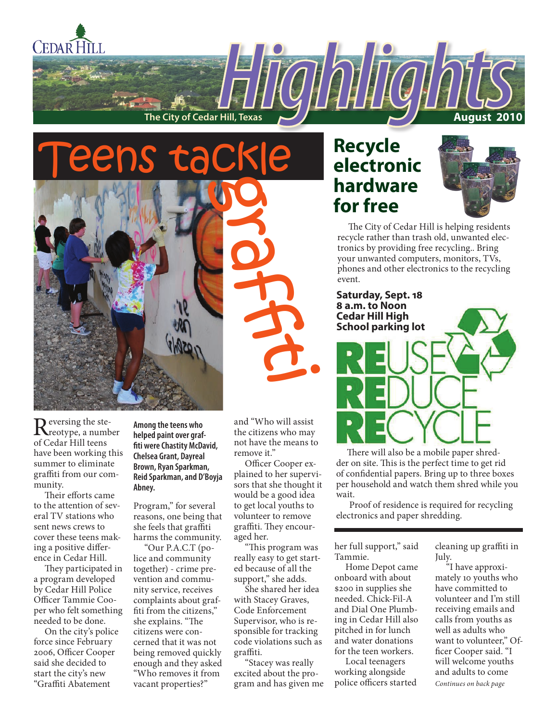

Reversing the ste-<br>reotype, a number of Cedar Hill teens have been working this summer to eliminate graffiti from our community.

Their efforts came to the attention of several TV stations who sent news crews to cover these teens making a positive difference in Cedar Hill.

They participated in a program developed by Cedar Hill Police Officer Tammie Cooper who felt something needed to be done.

On the city's police force since February 2006, Officer Cooper said she decided to start the city's new "Graffiti Abatement

**Among the teens who helped paint over graffiti were Chastity McDavid, Chelsea Grant, Dayreal Brown, Ryan Sparkman, Reid Sparkman, and D'Boyja Abney.**

Program," for several reasons, one being that she feels that graffiti harms the community.

"Our P.A.C.T (police and community together) - crime prevention and community service, receives complaints about graffiti from the citizens," she explains. "The citizens were concerned that it was not being removed quickly enough and they asked "Who removes it from vacant properties?"

and "Who will assist the citizens who may not have the means to remove it."

Officer Cooper explained to her supervisors that she thought it would be a good idea to get local youths to volunteer to remove graffiti. They encouraged her.

"This program was really easy to get started because of all the support," she adds.

She shared her idea with Stacey Graves, Code Enforcement Supervisor, who is responsible for tracking code violations such as graffiti.

"Stacey was really excited about the program and has given me

# **Recycle electronic hardware for free**



The City of Cedar Hill is helping residents recycle rather than trash old, unwanted electronics by providing free recycling.. Bring your unwanted computers, monitors, TVs, phones and other electronics to the recycling event.



There will also be a mobile paper shredder on site. This is the perfect time to get rid of confidential papers. Bring up to three boxes per household and watch them shred while you wait.

 Proof of residence is required for recycling electronics and paper shredding.

her full support," said Tammie.

Home Depot came onboard with about \$200 in supplies she needed. Chick-Fil-A and Dial One Plumbing in Cedar Hill also pitched in for lunch and water donations for the teen workers.

Local teenagers working alongside police officers started cleaning up graffiti in July.

*Continues on back page* "I have approximately 10 youths who have committed to volunteer and I'm still receiving emails and calls from youths as well as adults who want to volunteer," Officer Cooper said. "I will welcome youths and adults to come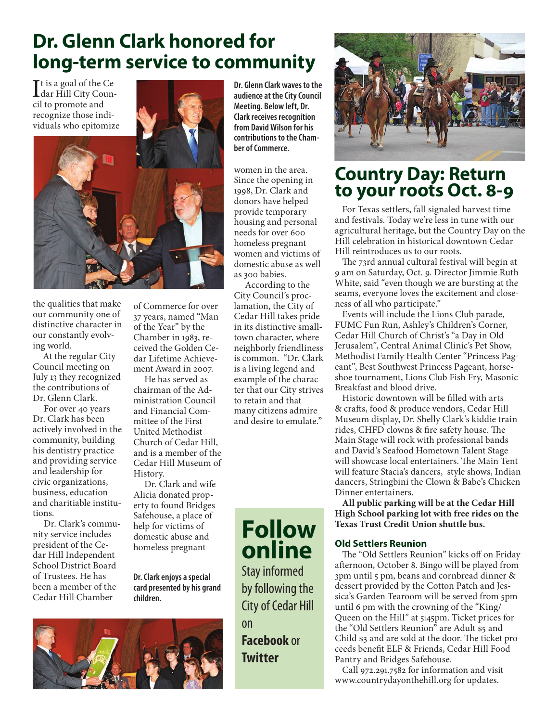# **Dr. Glenn Clark honored for long-term service to community**

It is a goal of the Ce-<br>dar Hill City Coundar Hill City Council to promote and recognize those individuals who epitomize



the qualities that make our community one of distinctive character in our constantly evolving world.

At the regular City Council meeting on July 13 they recognized the contributions of Dr. Glenn Clark.

For over 40 years Dr. Clark has been actively involved in the community, building his dentistry practice and providing service and leadership for civic organizations, business, education and charitiable institutions.

Dr. Clark's community service includes president of the Cedar Hill Independent School District Board of Trustees. He has been a member of the Cedar Hill Chamber

of Commerce for over 37 years, named "Man of the Year" by the Chamber in 1983, received the Golden Cedar Lifetime Achievement Award in 2007.

He has served as chairman of the Administration Council and Financial Committee of the First United Methodist Church of Cedar Hill, and is a member of the Cedar Hill Museum of History.

Dr. Clark and wife Alicia donated property to found Bridges Safehouse, a place of help for victims of domestic abuse and homeless pregnant

**Dr. Clark enjoys a special card presented by his grand children.**



**Dr. Glenn Clark waves to the audience at the City Council Meeting. Below left, Dr. Clark receives recognition from David Wilson for his contributions to the Chamber of Commerce.**

women in the area. Since the opening in 1998, Dr. Clark and donors have helped provide temporary housing and personal needs for over 600 homeless pregnant women and victims of domestic abuse as well as 300 babies.

According to the City Council's proclamation, the City of Cedar Hill takes pride in its distinctive smalltown character, where neighborly friendliness is common. "Dr. Clark is a living legend and example of the character that our City strives to retain and that many citizens admire and desire to emulate."





# **Country Day: Return to your roots Oct. 8-9**

For Texas settlers, fall signaled harvest time and festivals. Today we're less in tune with our agricultural heritage, but the Country Day on the Hill celebration in historical downtown Cedar Hill reintroduces us to our roots.

The 73rd annual cultural festival will begin at 9 am on Saturday, Oct. 9. Director Jimmie Ruth White, said "even though we are bursting at the seams, everyone loves the excitement and closeness of all who participate."

Events will include the Lions Club parade, FUMC Fun Run, Ashley's Children's Corner, Cedar Hill Church of Christ's "a Day in Old Jerusalem", Central Animal Clinic's Pet Show, Methodist Family Health Center "Princess Pageant", Best Southwest Princess Pageant, horseshoe tournament, Lions Club Fish Fry, Masonic Breakfast and blood drive.

Historic downtown will be filled with arts & crafts, food & produce vendors, Cedar Hill Museum display, Dr. Shelly Clark's kiddie train rides, CHFD clowns & fire safety house. The Main Stage will rock with professional bands and David's Seafood Hometown Talent Stage will showcase local entertainers. The Main Tent will feature Stacia's dancers, style shows, Indian dancers, Stringbini the Clown & Babe's Chicken Dinner entertainers.

**All public parking will be at the Cedar Hill High School parking lot with free rides on the Texas Trust Credit Union shuttle bus.**

#### **Old Settlers Reunion**

The "Old Settlers Reunion" kicks off on Friday afternoon, October 8. Bingo will be played from 3pm until 5 pm, beans and cornbread dinner & dessert provided by the Cotton Patch and Jessica's Garden Tearoom will be served from 5pm until 6 pm with the crowning of the "King/ Queen on the Hill" at 5:45pm. Ticket prices for the "Old Settlers Reunion" are Adult \$5 and Child \$3 and are sold at the door. The ticket proceeds benefit ELF & Friends, Cedar Hill Food Pantry and Bridges Safehouse.

Call 972.291.7582 for information and visit www.countrydayonthehill.org for updates.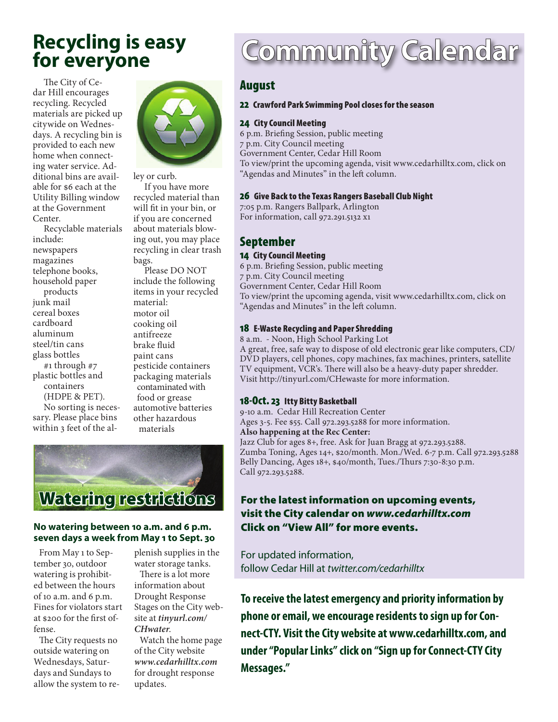# **Recycling is easy for everyone**

The City of Cedar Hill encourages recycling. Recycled materials are picked up citywide on Wednesdays. A recycling bin is provided to each new home when connecting water service. Additional bins are available for \$6 each at the Utility Billing window at the Government Center.

Recyclable materials include: newspapers magazines telephone books, household paper products junk mail cereal boxes cardboard aluminum steel/tin cans glass bottles #1 through #7 plastic bottles and containers (HDPE & PET). No sorting is necessary. Please place bins within 3 feet of the al-



ley or curb.

If you have more recycled material than will fit in your bin, or if you are concerned about materials blowing out, you may place recycling in clear trash bags.

Please DO NOT include the following items in your recycled material: motor oil cooking oil antifreeze brake fluid paint cans pesticide containers packaging materials contaminated with food or grease automotive batteries other hazardous materials



#### **No watering between 10 a.m. and 6 p.m. seven days a week from May 1 to Sept. 30**

From May 1 to September 30, outdoor watering is prohibited between the hours of 10 a.m. and 6 p.m. Fines for violators start at \$200 for the first offense.

The City requests no outside watering on Wednesdays, Saturdays and Sundays to allow the system to replenish supplies in the water storage tanks. There is a lot more information about Drought Response Stages on the City website at *tinyurl.com/ CHwater*.

Watch the home page of the City website *www.cedarhilltx.com* for drought response updates.

# Community Calendar

## August

## 22 Crawford Park Swimming Pool closes for the season

### 24 City Council Meeting

6 p.m. Briefing Session, public meeting 7 p.m. City Council meeting Government Center, Cedar Hill Room To view/print the upcoming agenda, visit www.cedarhilltx.com, click on "Agendas and Minutes" in the left column.

#### 26 Give Back to the Texas Rangers Baseball Club Night

7:05 p.m. Rangers Ballpark, Arlington For information, call 972.291.5132 x1

## September

#### 14 City Council Meeting

6 p.m. Briefing Session, public meeting 7 p.m. City Council meeting Government Center, Cedar Hill Room To view/print the upcoming agenda, visit www.cedarhilltx.com, click on "Agendas and Minutes" in the left column.

## 18 E-Waste Recycling and Paper Shredding

8 a.m. - Noon, High School Parking Lot A great, free, safe way to dispose of old electronic gear like computers, CD/ DVD players, cell phones, copy machines, fax machines, printers, satellite TV equipment, VCR's. There will also be a heavy-duty paper shredder. Visit http://tinyurl.com/CHewaste for more information.

#### 18-Oct. 23 Itty Bitty Basketball

9-10 a.m. Cedar Hill Recreation Center Ages 3-5. Fee \$55. Call 972.293.5288 for more information. **Also happening at the Rec Center:** Jazz Club for ages 8+, free. Ask for Juan Bragg at 972.293.5288. Zumba Toning, Ages 14+, \$20/month. Mon./Wed. 6-7 p.m. Call 972.293.5288 Belly Dancing, Ages 18+, \$40/month, Tues./Thurs 7:30-8:30 p.m. Call 972.293.5288.

## For the latest information on upcoming events, visit the City calendar on *www.cedarhilltx.com* Click on "View All" for more events.

For updated information, follow Cedar Hill at *twitter.com/cedarhilltx*

**To receive the latest emergency and priority information by phone or email, we encourage residents to sign up for Connect-CTY. Visit the City website at www.cedarhilltx.com, and under "Popular Links" click on "Sign up for Connect-CTY City Messages."**